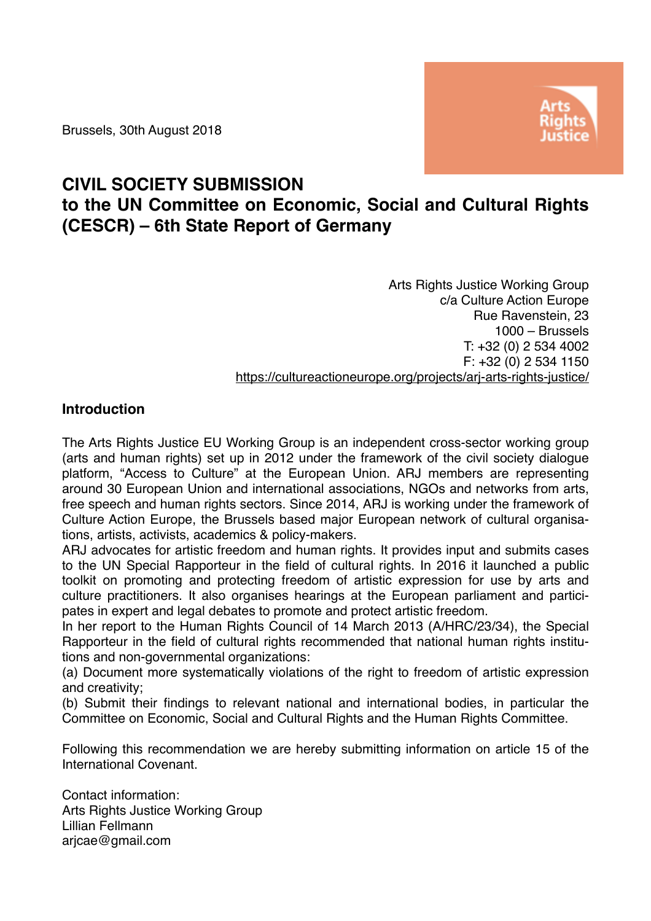Brussels, 30th August 2018



## **CIVIL SOCIETY SUBMISSION**

# **to the UN Committee on Economic, Social and Cultural Rights (CESCR) – 6th State Report of Germany**

Arts Rights Justice Working Group c/a Culture Action Europe Rue Ravenstein, 23 1000 – Brussels T: +32 (0) 2 534 4002 F: +32 (0) 2 534 1150 <https://cultureactioneurope.org/projects/arj-arts-rights-justice/>

### **Introduction**

The Arts Rights Justice EU Working Group is an independent cross-sector working group (arts and human rights) set up in 2012 under the framework of the civil society dialogue platform, "Access to Culture" at the European Union. ARJ members are representing around 30 European Union and international associations, NGOs and networks from arts, free speech and human rights sectors. Since 2014, ARJ is working under the framework of Culture Action Europe, the Brussels based major European network of cultural organisations, artists, activists, academics & policy-makers.

ARJ advocates for artistic freedom and human rights. It provides input and submits cases to the UN Special Rapporteur in the field of cultural rights. In 2016 it launched a public toolkit on promoting and protecting freedom of artistic expression for use by arts and culture practitioners. It also organises hearings at the European parliament and participates in expert and legal debates to promote and protect artistic freedom.

In her report to the Human Rights Council of 14 March 2013 (A/HRC/23/34), the Special Rapporteur in the field of cultural rights recommended that national human rights institutions and non-governmental organizations:

(a) Document more systematically violations of the right to freedom of artistic expression and creativity;

(b) Submit their findings to relevant national and international bodies, in particular the Committee on Economic, Social and Cultural Rights and the Human Rights Committee.

Following this recommendation we are hereby submitting information on article 15 of the International Covenant.

Contact information: Arts Rights Justice Working Group Lillian Fellmann arjcae@gmail.com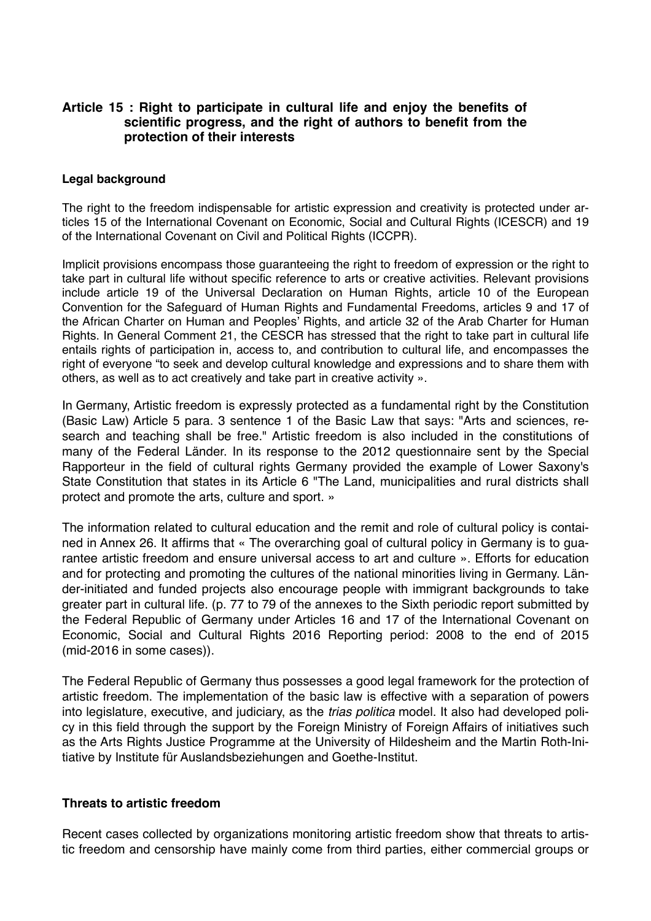#### **Article 15 : Right to participate in cultural life and enjoy the benefits of scientific progress, and the right of authors to benefit from the protection of their interests**

#### **Legal background**

The right to the freedom indispensable for artistic expression and creativity is protected under articles 15 of the International Covenant on Economic, Social and Cultural Rights (ICESCR) and 19 of the International Covenant on Civil and Political Rights (ICCPR).

Implicit provisions encompass those guaranteeing the right to freedom of expression or the right to take part in cultural life without specific reference to arts or creative activities. Relevant provisions include article 19 of the Universal Declaration on Human Rights, article 10 of the European Convention for the Safeguard of Human Rights and Fundamental Freedoms, articles 9 and 17 of the African Charter on Human and Peoples' Rights, and article 32 of the Arab Charter for Human Rights. In General Comment 21, the CESCR has stressed that the right to take part in cultural life entails rights of participation in, access to, and contribution to cultural life, and encompasses the right of everyone "to seek and develop cultural knowledge and expressions and to share them with others, as well as to act creatively and take part in creative activity ».

In Germany, Artistic freedom is expressly protected as a fundamental right by the Constitution (Basic Law) Article 5 para. 3 sentence 1 of the Basic Law that says: "Arts and sciences, research and teaching shall be free." Artistic freedom is also included in the constitutions of many of the Federal Länder. In its response to the 2012 questionnaire sent by the Special Rapporteur in the field of cultural rights Germany provided the example of Lower Saxony's State Constitution that states in its Article 6 "The Land, municipalities and rural districts shall protect and promote the arts, culture and sport. »

The information related to cultural education and the remit and role of cultural policy is contained in Annex 26. It affirms that « The overarching goal of cultural policy in Germany is to guarantee artistic freedom and ensure universal access to art and culture ». Efforts for education and for protecting and promoting the cultures of the national minorities living in Germany. Länder-initiated and funded projects also encourage people with immigrant backgrounds to take greater part in cultural life. (p. 77 to 79 of the annexes to the Sixth periodic report submitted by the Federal Republic of Germany under Articles 16 and 17 of the International Covenant on Economic, Social and Cultural Rights 2016 Reporting period: 2008 to the end of 2015 (mid-2016 in some cases)).

The Federal Republic of Germany thus possesses a good legal framework for the protection of artistic freedom. The implementation of the basic law is effective with a separation of powers into legislature, executive, and judiciary, as the *trias politica* model. It also had developed policy in this field through the support by the Foreign Ministry of Foreign Affairs of initiatives such as the Arts Rights Justice Programme at the University of Hildesheim and the Martin Roth-Initiative by Institute für Auslandsbeziehungen and Goethe-Institut.

#### **Threats to artistic freedom**

Recent cases collected by organizations monitoring artistic freedom show that threats to artistic freedom and censorship have mainly come from third parties, either commercial groups or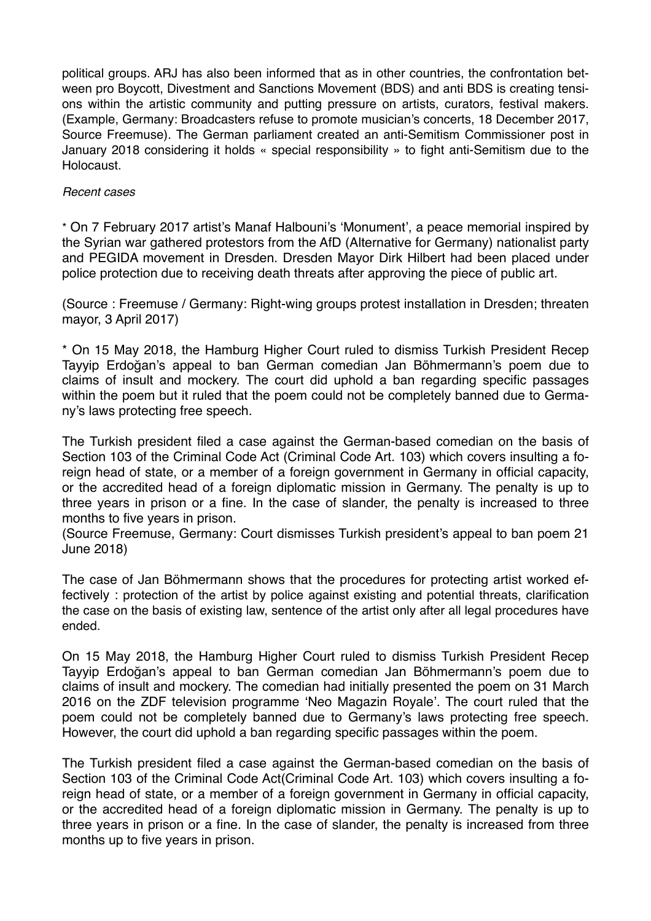political groups. ARJ has also been informed that as in other countries, the confrontation between pro Boycott, Divestment and Sanctions Movement (BDS) and anti BDS is creating tensions within the artistic community and putting pressure on artists, curators, festival makers. (Example, Germany: Broadcasters refuse to promote musician's concerts, 18 December 2017, Source Freemuse). The German parliament created an anti-Semitism Commissioner post in January 2018 considering it holds « special responsibility » to fight anti-Semitism due to the **Holocaust** 

#### *Recent cases*

\* On 7 February 2017 artist's Manaf Halbouni's 'Monument', a peace memorial inspired by the Syrian war gathered protestors from the AfD (Alternative for Germany) nationalist party and PEGIDA movement in Dresden. Dresden Mayor Dirk Hilbert had been placed under police protection due to receiving death threats after approving the piece of public art.

(Source : Freemuse / Germany: Right-wing groups protest installation in Dresden; threaten mayor, 3 April 2017)

\* On 15 May 2018, the Hamburg Higher Court ruled to dismiss Turkish President Recep Tayyip Erdoğan's appeal to ban German comedian Jan Böhmermann's poem due to claims of insult and mockery. The court did uphold a ban regarding specific passages within the poem but it ruled that the poem could not be completely banned due to Germany's laws protecting free speech.

The Turkish president filed a case against the German-based comedian on the basis of Section 103 of the Criminal Code Act (Criminal Code Art. 103) which covers insulting a foreign head of state, or a member of a foreign government in Germany in official capacity, or the accredited head of a foreign diplomatic mission in Germany. The penalty is up to three years in prison or a fine. In the case of slander, the penalty is increased to three months to five years in prison.

(Source Freemuse, Germany: Court dismisses Turkish president's appeal to ban poem 21 June 2018)

The case of Jan Böhmermann shows that the procedures for protecting artist worked effectively : protection of the artist by police against existing and potential threats, clarification the case on the basis of existing law, sentence of the artist only after all legal procedures have ended.

On 15 May 2018, the Hamburg Higher Court ruled to dismiss Turkish President Recep Tayyip Erdoğan's appeal to ban German comedian Jan Böhmermann's poem due to claims of insult and mockery. The comedian had initially presented the poem on 31 March 2016 on the ZDF television programme 'Neo Magazin Royale'. The court ruled that the poem could not be completely banned due to Germany's laws protecting free speech. However, the court did uphold a ban regarding specific passages within the poem.

The Turkish president filed a case against the German-based comedian on the basis of Section 103 of the Criminal Code Act(Criminal Code Art. 103) which covers insulting a foreign head of state, or a member of a foreign government in Germany in official capacity, or the accredited head of a foreign diplomatic mission in Germany. The penalty is up to three years in prison or a fine. In the case of slander, the penalty is increased from three months up to five years in prison.